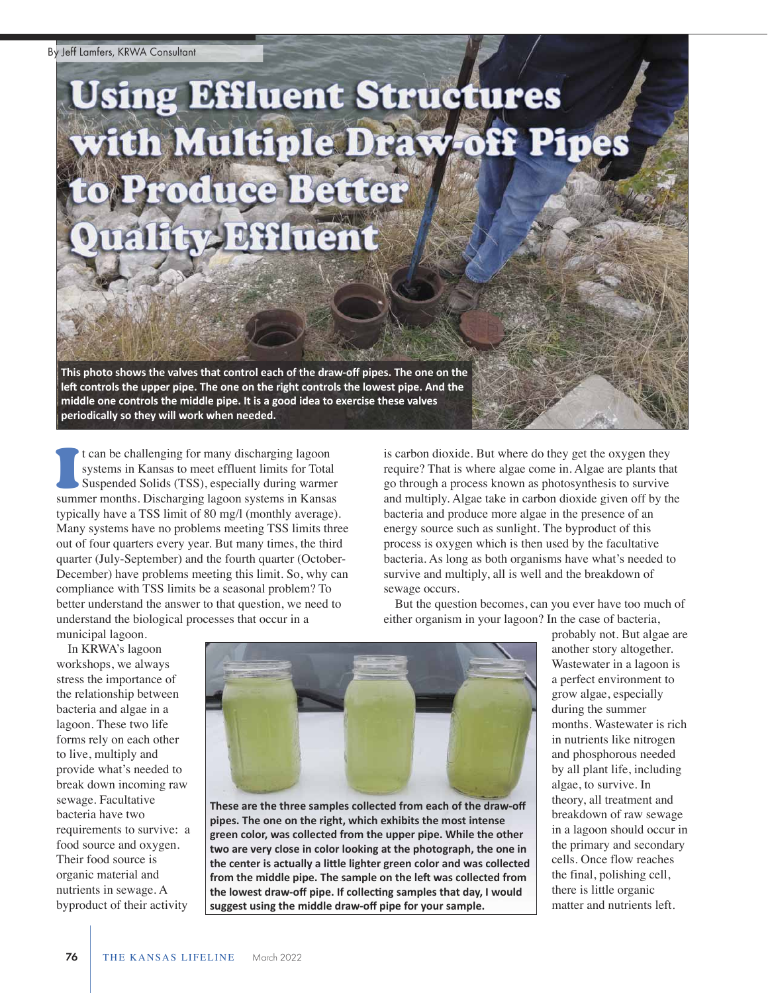## **Using Effluent Structures** with Multiple Draw-off Pipes Produce Better **Effluent**

**This photo shows the valves that control each of the drawoff pipes. The one on the left controls the upper pipe. The one on the right controls the lowest pipe. And the middle one controls the middle pipe. It is a good idea to exercise these valves periodically so they will work when needed.**

t can be challenging for many discharging lagoon systems in Kansas to meet effluent limits for Total Suspended Solids (TSS), especially during warmer summer months. Discharging lagoon systems in Kansas typically have a TSS limit of 80 mg/l (monthly average). Many systems have no problems meeting TSS limits three out of four quarters every year. But many times, the third quarter (July-September) and the fourth quarter (October-December) have problems meeting this limit. So, why can compliance with TSS limits be a seasonal problem? To better understand the answer to that question, we need to understand the biological processes that occur in a municipal lagoon. I

is carbon dioxide. But where do they get the oxygen they require? That is where algae come in. Algae are plants that go through a process known as photosynthesis to survive and multiply. Algae take in carbon dioxide given off by the bacteria and produce more algae in the presence of an energy source such as sunlight. The byproduct of this process is oxygen which is then used by the facultative bacteria. As long as both organisms have what's needed to survive and multiply, all is well and the breakdown of sewage occurs.

But the question becomes, can you ever have too much of either organism in your lagoon? In the case of bacteria,

In KRWA's lagoon workshops, we always stress the importance of the relationship between bacteria and algae in a lagoon. These two life forms rely on each other to live, multiply and provide what's needed to break down incoming raw sewage. Facultative bacteria have two requirements to survive: a food source and oxygen. Their food source is organic material and nutrients in sewage. A byproduct of their activity



**These are the three samples collected from each of the drawoff pipes. The one on the right, which exhibits the most intense green color, was collected from the upper pipe. While the other two are very close in color looking at the photograph, the one in the center is actually a little lighter green color and was collected from the middle pipe. The sample on the left was collected from the lowest drawoff pipe. If collecting samples that day, I would suggest using the middle drawoff pipe for your sample.**

probably not. But algae are another story altogether. Wastewater in a lagoon is a perfect environment to grow algae, especially during the summer months. Wastewater is rich in nutrients like nitrogen and phosphorous needed by all plant life, including algae, to survive. In theory, all treatment and breakdown of raw sewage in a lagoon should occur in the primary and secondary cells. Once flow reaches the final, polishing cell, there is little organic matter and nutrients left.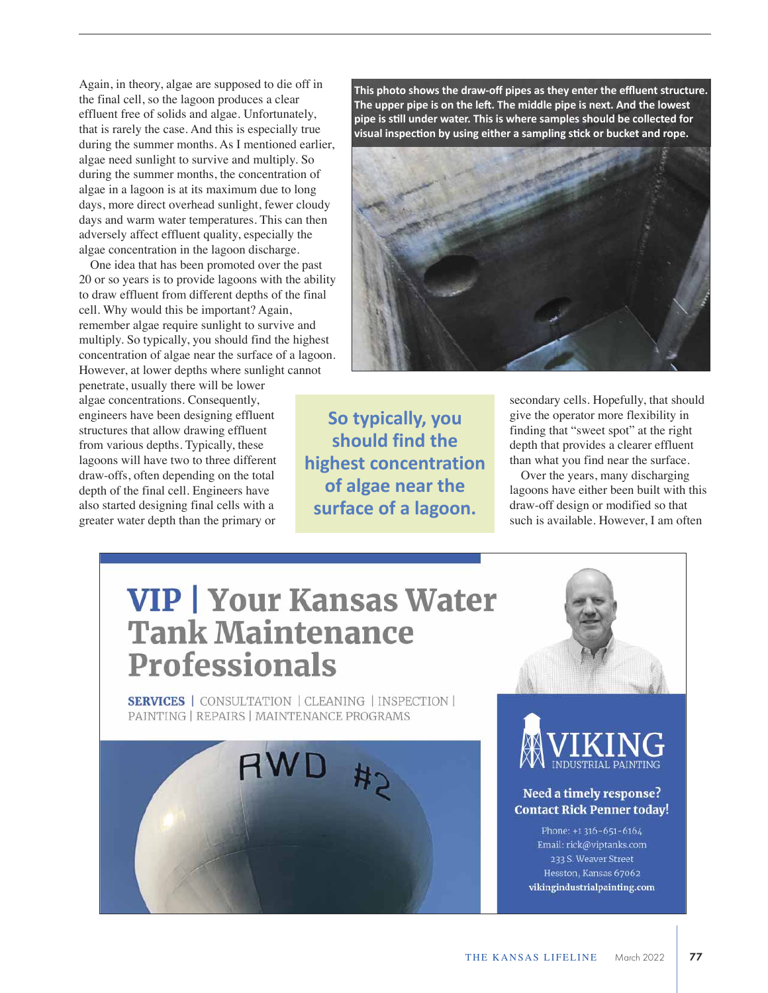Again, in theory, algae are supposed to die off in the final cell, so the lagoon produces a clear effluent free of solids and algae. Unfortunately, that is rarely the case. And this is especially true during the summer months. As I mentioned earlier, algae need sunlight to survive and multiply. So during the summer months, the concentration of algae in a lagoon is at its maximum due to long days, more direct overhead sunlight, fewer cloudy days and warm water temperatures. This can then adversely affect effluent quality, especially the algae concentration in the lagoon discharge.

One idea that has been promoted over the past 20 or so years is to provide lagoons with the ability to draw effluent from different depths of the final cell. Why would this be important? Again, remember algae require sunlight to survive and multiply. So typically, you should find the highest concentration of algae near the surface of a lagoon. However, at lower depths where sunlight cannot

penetrate, usually there will be lower algae concentrations. Consequently, engineers have been designing effluent structures that allow drawing effluent from various depths. Typically, these lagoons will have two to three different draw-offs, often depending on the total depth of the final cell. Engineers have also started designing final cells with a greater water depth than the primary or

**This photo shows the drawoff pipes as they enter the effluent structure. The upper pipe is on the left. The middle pipe is next. And the lowest pipe is still under water. This is where samples should be collected for visual inspection by using either a sampling stick or bucket and rope.**



**So typically, you should find the highest concentration of algae near the surface of a lagoon.** 

secondary cells. Hopefully, that should give the operator more flexibility in finding that "sweet spot" at the right depth that provides a clearer effluent than what you find near the surface.

Over the years, many discharging lagoons have either been built with this draw-off design or modified so that such is available. However, I am often

#### **VIP | Your Kansas Water Tank Maintenance Professionals**

**SERVICES** | CONSULTATION | CLEANING | INSPECTION | PAINTING | REPAIRS | MAINTENANCE PROGRAMS







#### Need a timely response? **Contact Rick Penner today!**

Phone: +1316-651-6164 Email: rick@viptanks.com 233 S. Weaver Street Hesston, Kansas 67062 vikingindustrialpainting.com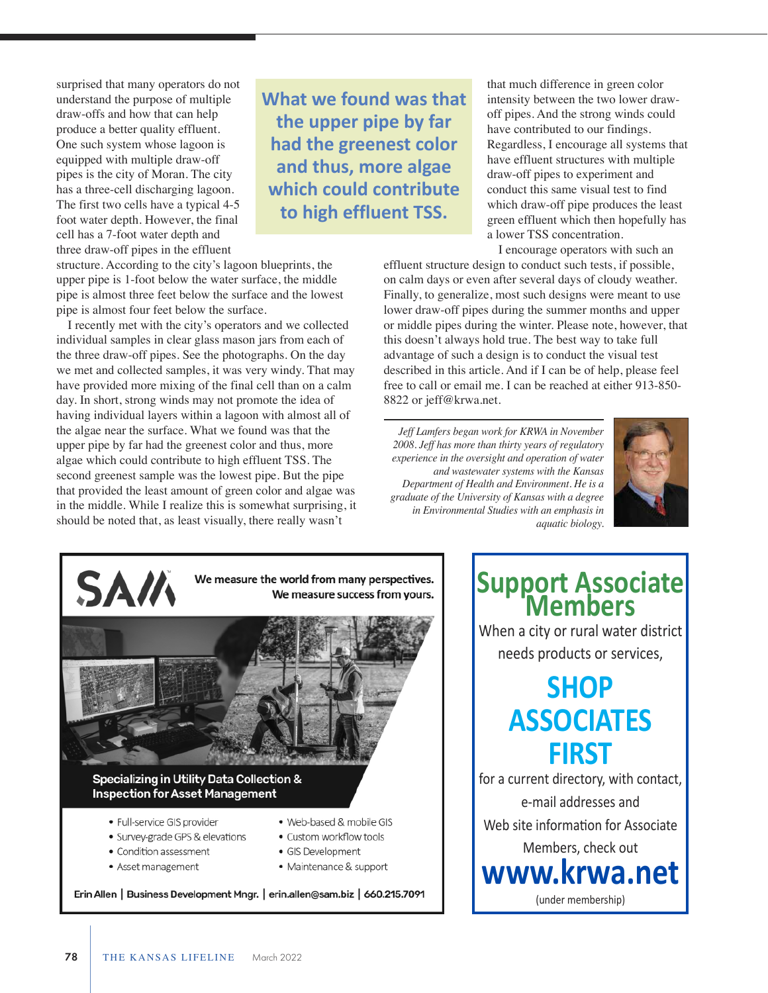surprised that many operators do not understand the purpose of multiple draw-offs and how that can help produce a better quality effluent. One such system whose lagoon is equipped with multiple draw-off pipes is the city of Moran. The city has a three-cell discharging lagoon. The first two cells have a typical 4-5 foot water depth. However, the final cell has a 7-foot water depth and three draw-off pipes in the effluent

**What we found was that the upper pipe by far had the greenest color and thus, more algae which could contribute to high effluent TSS.** 

structure. According to the city's lagoon blueprints, the upper pipe is 1-foot below the water surface, the middle pipe is almost three feet below the surface and the lowest pipe is almost four feet below the surface.

I recently met with the city's operators and we collected individual samples in clear glass mason jars from each of the three draw-off pipes. See the photographs. On the day we met and collected samples, it was very windy. That may have provided more mixing of the final cell than on a calm day. In short, strong winds may not promote the idea of having individual layers within a lagoon with almost all of the algae near the surface. What we found was that the upper pipe by far had the greenest color and thus, more algae which could contribute to high effluent TSS. The second greenest sample was the lowest pipe. But the pipe that provided the least amount of green color and algae was in the middle. While I realize this is somewhat surprising, it should be noted that, as least visually, there really wasn't

that much difference in green color intensity between the two lower drawoff pipes. And the strong winds could have contributed to our findings. Regardless, I encourage all systems that have effluent structures with multiple draw-off pipes to experiment and conduct this same visual test to find which draw-off pipe produces the least green effluent which then hopefully has a lower TSS concentration.

I encourage operators with such an

effluent structure design to conduct such tests, if possible, on calm days or even after several days of cloudy weather. Finally, to generalize, most such designs were meant to use lower draw-off pipes during the summer months and upper or middle pipes during the winter. Please note, however, that this doesn't always hold true. The best way to take full advantage of such a design is to conduct the visual test described in this article. And if I can be of help, please feel free to call or email me. I can be reached at either 913-850- 8822 or jeff@krwa.net.

*Jeff Lamfers began work for KRWA in November 2008. Jeff has more than thirty years of regulatory experience in the oversight and operation of water and wastewater systems with the Kansas Department of Health and Environment. He is a graduate of the University of Kansas with a degree in Environmental Studies with an emphasis in aquatic biology.* 





Erin Allen | Business Development Mngr. | erin.allen@sam.biz | 660.215.7091

# **Support Associate**

When a city or rural water district needs products or services,

#### **SHOP ASSOCIATES FIRST**

for a current directory, with contact, email addresses and Web site information for Associate Members, check out

**www.krwa.net**

(under membership)